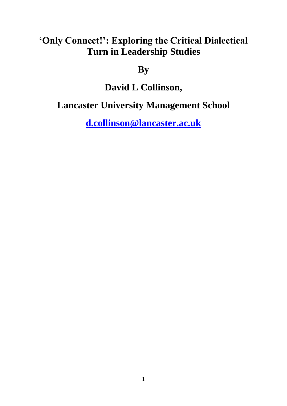# **'Only Connect!': Exploring the Critical Dialectical Turn in Leadership Studies**

## **By**

# **David L Collinson,**

# **Lancaster University Management School**

**[d.collinson@lancaster.ac.uk](mailto:d.collinson@lancaster.ac.uk)**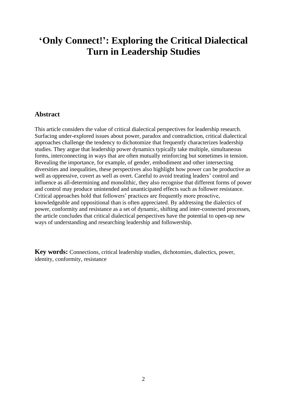## **'Only Connect!': Exploring the Critical Dialectical Turn in Leadership Studies**

### **Abstract**

This article considers the value of critical dialectical perspectives for leadership research. Surfacing under-explored issues about power, paradox and contradiction, critical dialectical approaches challenge the tendency to dichotomize that frequently characterizes leadership studies. They argue that leadership power dynamics typically take multiple, simultaneous forms, interconnecting in ways that are often mutually reinforcing but sometimes in tension. Revealing the importance, for example, of gender, embodiment and other intersecting diversities and inequalities, these perspectives also highlight how power can be productive as well as oppressive, covert as well as overt. Careful to avoid treating leaders' control and influence as all-determining and monolithic, they also recognise that different forms of power and control may produce unintended and unanticipated effects such as follower resistance. Critical approaches hold that followers' practices are frequently more proactive, knowledgeable and oppositional than is often appreciated. By addressing the dialectics of power, conformity and resistance as a set of dynamic, shifting and inter-connected processes, the article concludes that critical dialectical perspectives have the potential to open-up new ways of understanding and researching leadership and followership.

**Key words:** Connections, critical leadership studies, dichotomies, dialectics, power, identity, conformity, resistance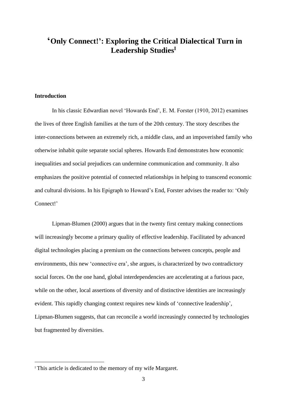### **'Only Connect!': Exploring the Critical Dialectical Turn in Leadership Studies<sup>I</sup>**

#### **Introduction**

In his classic Edwardian novel 'Howards End', E. M. Forster (1910, 2012) examines the lives of three English families at the turn of the 20th century. The story describes the inter-connections between an extremely rich, a middle class, and an impoverished family who otherwise inhabit quite separate social spheres. Howards End demonstrates how economic inequalities and social prejudices can undermine communication and community. It also emphasizes the positive potential of connected relationships in helping to transcend economic and cultural divisions. In his Epigraph to Howard's End, Forster advises the reader to: 'Only Connect!'

Lipman-Blumen (2000) argues that in the twenty first century making connections will increasingly become a primary quality of effective leadership. Facilitated by advanced digital technologies placing a premium on the connections between concepts, people and environments, this new 'connective era', she argues, is characterized by two contradictory social forces. On the one hand, global interdependencies are accelerating at a furious pace, while on the other, local assertions of diversity and of distinctive identities are increasingly evident. This rapidly changing context requires new kinds of 'connective leadership', Lipman-Blumen suggests, that can reconcile a world increasingly connected by technologies but fragmented by diversities.

<sup>&</sup>lt;sup>I</sup> This article is dedicated to the memory of my wife Margaret.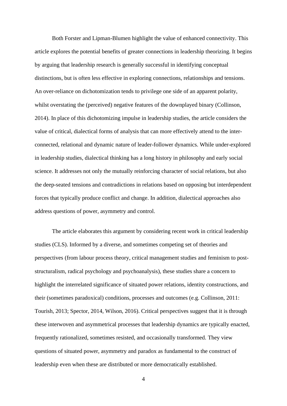Both Forster and Lipman-Blumen highlight the value of enhanced connectivity. This article explores the potential benefits of greater connections in leadership theorizing. It begins by arguing that leadership research is generally successful in identifying conceptual distinctions, but is often less effective in exploring connections, relationships and tensions. An over-reliance on dichotomization tends to privilege one side of an apparent polarity, whilst overstating the (perceived) negative features of the downplayed binary (Collinson, 2014). In place of this dichotomizing impulse in leadership studies, the article considers the value of critical, dialectical forms of analysis that can more effectively attend to the interconnected, relational and dynamic nature of leader-follower dynamics. While under-explored in leadership studies, dialectical thinking has a long history in philosophy and early social science. It addresses not only the mutually reinforcing character of social relations, but also the deep-seated tensions and contradictions in relations based on opposing but interdependent forces that typically produce conflict and change. In addition, dialectical approaches also address questions of power, asymmetry and control.

The article elaborates this argument by considering recent work in critical leadership studies (CLS). Informed by a diverse, and sometimes competing set of theories and perspectives (from labour process theory, critical management studies and feminism to poststructuralism, radical psychology and psychoanalysis), these studies share a concern to highlight the interrelated significance of situated power relations, identity constructions, and their (sometimes paradoxical) conditions, processes and outcomes (e.g. Collinson, 2011: Tourish, 2013; Spector, 2014, Wilson, 2016). Critical perspectives suggest that it is through these interwoven and asymmetrical processes that leadership dynamics are typically enacted, frequently rationalized, sometimes resisted, and occasionally transformed. They view questions of situated power, asymmetry and paradox as fundamental to the construct of leadership even when these are distributed or more democratically established.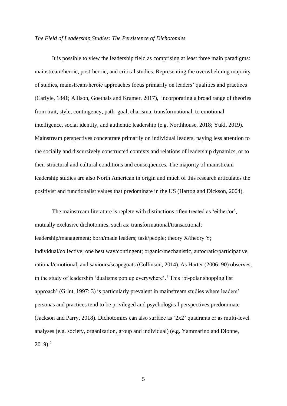#### *The Field of Leadership Studies: The Persistence of Dichotomies*

It is possible to view the leadership field as comprising at least three main paradigms: mainstream/heroic, post-heroic, and critical studies. Representing the overwhelming majority of studies, mainstream/heroic approaches focus primarily on leaders' qualities and practices (Carlyle, 1841; Allison, Goethals and Kramer, 2017), incorporating a broad range of theories from trait, style, contingency, path–goal, charisma, transformational, to emotional intelligence, social identity, and authentic leadership (e.g. Northhouse, 2018; Yukl, 2019). Mainstream perspectives concentrate primarily on individual leaders, paying less attention to the socially and discursively constructed contexts and relations of leadership dynamics, or to their structural and cultural conditions and consequences. The majority of mainstream leadership studies are also North American in origin and much of this research articulates the positivist and functionalist values that predominate in the US (Hartog and Dickson, 2004).

The mainstream literature is replete with distinctions often treated as 'either/or', mutually exclusive dichotomies, such as: transformational/transactional; leadership/management; born/made leaders; task/people; theory X/theory Y; individual/collective; one best way/contingent; organic/mechanistic, autocratic/participative, rational/emotional, and saviours/scapegoats (Collinson, 2014). As Harter (2006: 90) observes, in the study of leadership 'dualisms pop up everywhere'.<sup>1</sup> This 'bi-polar shopping list approach' (Grint, 1997: 3) is particularly prevalent in mainstream studies where leaders' personas and practices tend to be privileged and psychological perspectives predominate (Jackson and Parry, 2018). Dichotomies can also surface as '2x2' quadrants or as multi-level analyses (e.g. society, organization, group and individual) (e.g. Yammarino and Dionne,  $2019$ <sup>2</sup>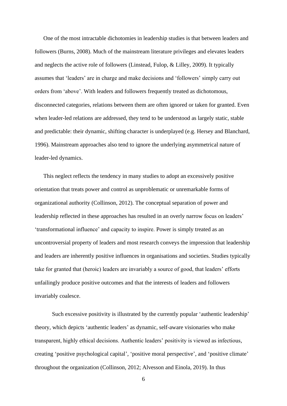One of the most intractable dichotomies in leadership studies is that between leaders and followers (Burns, 2008). Much of the mainstream literature privileges and elevates leaders and neglects the active role of followers (Linstead, Fulop, & Lilley, 2009). It typically assumes that 'leaders' are in charge and make decisions and 'followers' simply carry out orders from 'above'. With leaders and followers frequently treated as dichotomous, disconnected categories, relations between them are often ignored or taken for granted. Even when leader-led relations are addressed, they tend to be understood as largely static, stable and predictable: their dynamic, shifting character is underplayed (e.g. Hersey and Blanchard, 1996). Mainstream approaches also tend to ignore the underlying asymmetrical nature of leader-led dynamics.

This neglect reflects the tendency in many studies to adopt an excessively positive orientation that treats power and control as unproblematic or unremarkable forms of organizational authority (Collinson, 2012). The conceptual separation of power and leadership reflected in these approaches has resulted in an overly narrow focus on leaders' 'transformational influence' and capacity to inspire. Power is simply treated as an uncontroversial property of leaders and most research conveys the impression that leadership and leaders are inherently positive influences in organisations and societies. Studies typically take for granted that (heroic) leaders are invariably a source of good, that leaders' efforts unfailingly produce positive outcomes and that the interests of leaders and followers invariably coalesce.

Such excessive positivity is illustrated by the currently popular 'authentic leadership' theory, which depicts 'authentic leaders' as dynamic, self-aware visionaries who make transparent, highly ethical decisions. Authentic leaders' positivity is viewed as infectious, creating 'positive psychological capital', 'positive moral perspective', and 'positive climate' throughout the organization (Collinson, 2012; Alvesson and Einola, 2019). In thus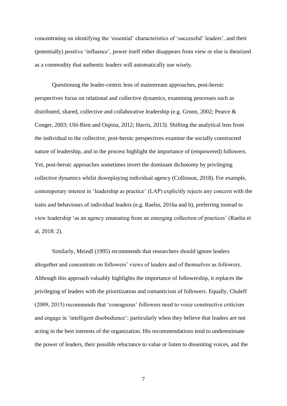concentrating on identifying the 'essential' characteristics of 'successful' leaders', and their (potentially) positive 'influence', power itself either disappears from view or else is theorized as a commodity that authentic leaders will automatically use wisely.

Questioning the leader-centric lens of mainstream approaches, post-heroic perspectives focus on relational and collective dynamics, examining processes such as distributed, shared, collective and collaborative leadership (e.g. Gronn, 2002; Pearce & Conger, 2003; Uhl-Bien and Ospina, 2012; Harris, 2013). Shifting the analytical lens from the individual to the collective, post-heroic perspectives examine the socially constructed nature of leadership, and in the process highlight the importance of (empowered) followers. Yet, post-heroic approaches sometimes invert the dominant dichotomy by privileging collective dynamics whilst downplaying individual agency (Collinson, 2018). For example, contemporary interest in 'leadership as practice' (LAP) explicitly rejects any concern with the traits and behaviours of individual leaders (e.g. Raelin, 2016a and b), preferring instead to view leadership 'as an agency emanating from an emerging collection of practices' (Raelin et al, 2018: 2).

Similarly, Meindl (1995) recommends that researchers should ignore leaders altogether and concentrate on followers' views of leaders and of themselves as followers. Although this approach valuably highlights the importance of followership, it replaces the privileging of leaders with the prioritization and romanticism of followers. Equally, Chaleff (2009, 2015) recommends that 'courageous' followers need to voice constructive criticism and engage in 'intelligent disobedience'; particularly when they believe that leaders are not acting in the best interests of the organization. His recommendations tend to underestimate the power of leaders, their possible reluctance to value or listen to dissenting voices, and the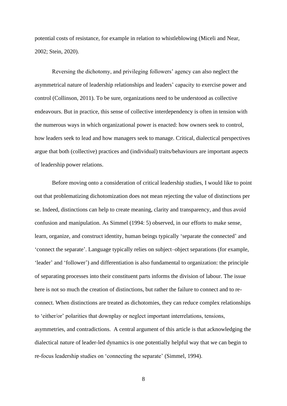potential costs of resistance, for example in relation to whistleblowing (Miceli and Near, 2002; Stein, 2020).

Reversing the dichotomy, and privileging followers' agency can also neglect the asymmetrical nature of leadership relationships and leaders' capacity to exercise power and control (Collinson, 2011). To be sure, organizations need to be understood as collective endeavours. But in practice, this sense of collective interdependency is often in tension with the numerous ways in which organizational power is enacted: how owners seek to control, how leaders seek to lead and how managers seek to manage. Critical, dialectical perspectives argue that both (collective) practices and (individual) traits/behaviours are important aspects of leadership power relations.

Before moving onto a consideration of critical leadership studies, I would like to point out that problematizing dichotomization does not mean rejecting the value of distinctions per se. Indeed, distinctions can help to create meaning, clarity and transparency, and thus avoid confusion and manipulation. As Simmel (1994: 5) observed, in our efforts to make sense, learn, organize, and construct identity, human beings typically 'separate the connected' and 'connect the separate'. Language typically relies on subject–object separations (for example, 'leader' and 'follower') and differentiation is also fundamental to organization: the principle of separating processes into their constituent parts informs the division of labour. The issue here is not so much the creation of distinctions, but rather the failure to connect and to reconnect. When distinctions are treated as dichotomies, they can reduce complex relationships to 'either/or' polarities that downplay or neglect important interrelations, tensions, asymmetries, and contradictions. A central argument of this article is that acknowledging the dialectical nature of leader-led dynamics is one potentially helpful way that we can begin to re-focus leadership studies on 'connecting the separate' (Simmel, 1994).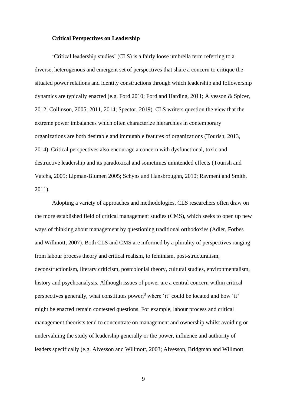#### **Critical Perspectives on Leadership**

'Critical leadership studies' (CLS) is a fairly loose umbrella term referring to a diverse, heterogenous and emergent set of perspectives that share a concern to critique the situated power relations and identity constructions through which leadership and followership dynamics are typically enacted (e.g. Ford 2010; Ford and Harding, 2011; Alvesson & Spicer, 2012; Collinson, 2005; 2011, 2014; Spector, 2019). CLS writers question the view that the extreme power imbalances which often characterize hierarchies in contemporary organizations are both desirable and immutable features of organizations (Tourish, 2013, 2014). Critical perspectives also encourage a concern with dysfunctional, toxic and destructive leadership and its paradoxical and sometimes unintended effects (Tourish and Vatcha, 2005; Lipman-Blumen 2005; Schyns and Hansbroughn, 2010; Rayment and Smith, 2011).

Adopting a variety of approaches and methodologies, CLS researchers often draw on the more established field of critical management studies (CMS), which seeks to open up new ways of thinking about management by questioning traditional orthodoxies (Adler, Forbes and Willmott, 2007). Both CLS and CMS are informed by a plurality of perspectives ranging from labour process theory and critical realism, to feminism, post-structuralism, deconstructionism, literary criticism, postcolonial theory, cultural studies, environmentalism, history and psychoanalysis. Although issues of power are a central concern within critical perspectives generally, what constitutes power,<sup>3</sup> where 'it' could be located and how 'it' might be enacted remain contested questions. For example, labour process and critical management theorists tend to concentrate on management and ownership whilst avoiding or undervaluing the study of leadership generally or the power, influence and authority of leaders specifically (e.g. Alvesson and Willmott, 2003; Alvesson, Bridgman and Willmott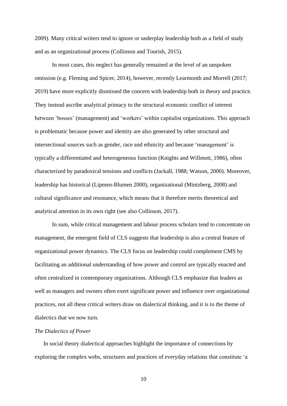2009). Many critical writers tend to ignore or underplay leadership both as a field of study and as an organizational process (Collinson and Tourish, 2015).

In most cases, this neglect has generally remained at the level of an unspoken omission (e.g. Fleming and Spicer, 2014), however, recently Learmonth and Morrell (2017; 2019) have more explicitly dismissed the concern with leadership both in theory and practice. They instead ascribe analytical primacy to the structural economic conflict of interest between 'bosses' (management) and 'workers' within capitalist organizations. This approach is problematic because power and identity are also generated by other structural and intersectional sources such as gender, race and ethnicity and because 'management' is typically a differentiated and heterogeneous function (Knights and Willmott, 1986), often characterized by paradoxical tensions and conflicts (Jackall, 1988; Watson, 2000). Moreover, leadership has historical (Lipmen-Blumen 2000), organizational (Mintzberg, 2008) and cultural significance and resonance, which means that it therefore merits theoretical and analytical attention in its own right (see also Collinson, 2017).

In sum, while critical management and labour process scholars tend to concentrate on management, the emergent field of CLS suggests that leadership is also a central feature of organizational power dynamics. The CLS focus on leadership could complement CMS by facilitating an additional understanding of how power and control are typically enacted and often centralized in contemporary organizations. Although CLS emphasize that leaders as well as managers and owners often exert significant power and influence over organizational practices, not all these critical writers draw on dialectical thinking, and it is to the theme of dialectics that we now turn.

#### *The Dialectics of Power*

In social theory dialectical approaches highlight the importance of connections by exploring the complex webs, structures and practices of everyday relations that constitute 'a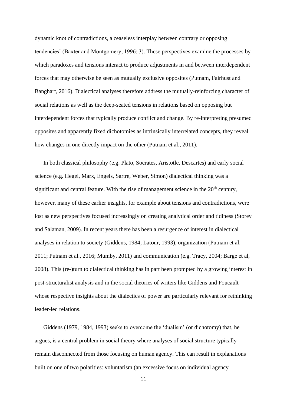dynamic knot of contradictions, a ceaseless interplay between contrary or opposing tendencies' (Baxter and Montgomery, 1996: 3). These perspectives examine the processes by which paradoxes and tensions interact to produce adjustments in and between interdependent forces that may otherwise be seen as mutually exclusive opposites (Putnam, Fairhust and Banghart, 2016). Dialectical analyses therefore address the mutually-reinforcing character of social relations as well as the deep-seated tensions in relations based on opposing but interdependent forces that typically produce conflict and change. By re-interpreting presumed opposites and apparently fixed dichotomies as intrinsically interrelated concepts, they reveal how changes in one directly impact on the other (Putnam et al., 2011).

In both classical philosophy (e.g. Plato, Socrates, Aristotle, Descartes) and early social science (e.g. Hegel, Marx, Engels, Sartre, Weber, Simon) dialectical thinking was a significant and central feature. With the rise of management science in the  $20<sup>th</sup>$  century, however, many of these earlier insights, for example about tensions and contradictions, were lost as new perspectives focused increasingly on creating analytical order and tidiness (Storey and Salaman, 2009). In recent years there has been a resurgence of interest in dialectical analyses in relation to society (Giddens, 1984; Latour, 1993), organization (Putnam et al. 2011; Putnam et al., 2016; Mumby, 2011) and communication (e.g. Tracy, 2004; Barge et al, 2008). This (re-)turn to dialectical thinking has in part been prompted by a growing interest in post-structuralist analysis and in the social theories of writers like Giddens and Foucault whose respective insights about the dialectics of power are particularly relevant for rethinking leader-led relations.

Giddens (1979, 1984, 1993) seeks to overcome the 'dualism' (or dichotomy) that, he argues, is a central problem in social theory where analyses of social structure typically remain disconnected from those focusing on human agency. This can result in explanations built on one of two polarities: voluntarism (an excessive focus on individual agency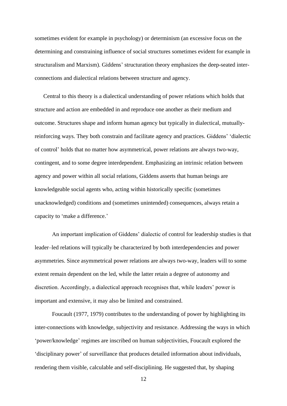sometimes evident for example in psychology) or determinism (an excessive focus on the determining and constraining influence of social structures sometimes evident for example in structuralism and Marxism). Giddens' structuration theory emphasizes the deep-seated interconnections and dialectical relations between structure and agency.

Central to this theory is a dialectical understanding of power relations which holds that structure and action are embedded in and reproduce one another as their medium and outcome. Structures shape and inform human agency but typically in dialectical, mutuallyreinforcing ways. They both constrain and facilitate agency and practices. Giddens' 'dialectic of control' holds that no matter how asymmetrical, power relations are always two-way, contingent, and to some degree interdependent. Emphasizing an intrinsic relation between agency and power within all social relations, Giddens asserts that human beings are knowledgeable social agents who, acting within historically specific (sometimes unacknowledged) conditions and (sometimes unintended) consequences, always retain a capacity to 'make a difference.'

An important implication of Giddens' dialectic of control for leadership studies is that leader–led relations will typically be characterized by both interdependencies and power asymmetries. Since asymmetrical power relations are always two-way, leaders will to some extent remain dependent on the led, while the latter retain a degree of autonomy and discretion. Accordingly, a dialectical approach recognises that, while leaders' power is important and extensive, it may also be limited and constrained.

Foucault (1977, 1979) contributes to the understanding of power by highlighting its inter-connections with knowledge, subjectivity and resistance. Addressing the ways in which 'power/knowledge' regimes are inscribed on human subjectivities, Foucault explored the 'disciplinary power' of surveillance that produces detailed information about individuals, rendering them visible, calculable and self-disciplining. He suggested that, by shaping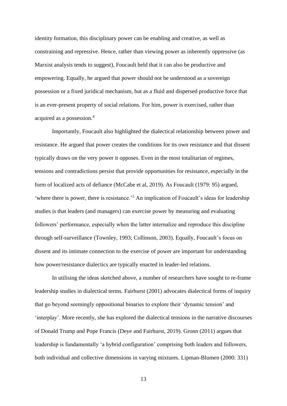identity formation, this disciplinary power can be enabling and creative, as well as constraining and repressive. Hence, rather than viewing power as inherently oppressive (as Marxist analysis tends to suggest), Foucault held that it can also be productive and empowering. Equally, he argued that power should not be understood as a sovereign possession or a fixed juridical mechanism, but as a fluid and dispersed productive force that is an ever-present property of social relations. For him, power is exercised, rather than acquired as a possession.<sup>4</sup>

Importantly, Foucault also highlighted the dialectical relationship between power and resistance. He argued that power creates the conditions for its own resistance and that dissent typically draws on the very power it opposes. Even in the most totalitarian of regimes, tensions and contradictions persist that provide opportunities for resistance, especially in the form of localized acts of defiance (McCabe et al, 2019). As Foucault (1979: 95) argued, 'where there is power, there is resistance.'<sup>5</sup> An implication of Foucault's ideas for leadership studies is that leaders (and managers) can exercise power by measuring and evaluating followers' performance, especially when the latter internalize and reproduce this discipline through self-surveillance (Townley, 1993; Collinson, 2003). Equally, Foucault's focus on dissent and its intimate connection to the exercise of power are important for understanding how power/resistance dialectics are typically enacted in leader-led relations.

In utilising the ideas sketched above, a number of researchers have sought to re-frame leadership studies in dialectical terms. Fairhurst (2001) advocates dialectical forms of inquiry that go beyond seemingly oppositional binaries to explore their 'dynamic tension' and 'interplay'. More recently, she has explored the dialectical tensions in the narrative discourses of Donald Trump and Pope Francis (Deye and Fairhurst, 2019). Gronn (2011) argues that leadership is fundamentally 'a hybrid configuration' comprising both leaders and followers, both individual and collective dimensions in varying mixtures. Lipman-Blumen (2000: 331)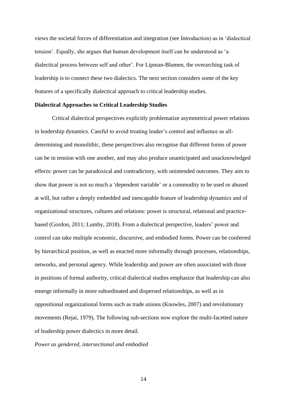views the societal forces of differentiation and integration (see Introduction) as in 'dialectical tension'. Equally, she argues that human development itself can be understood as 'a dialectical process between self and other'. For Lipman-Blumen, the overarching task of leadership is to connect these two dialectics. The next section considers some of the key features of a specifically dialectical approach to critical leadership studies.

#### **Dialectical Approaches to Critical Leadership Studies**

Critical dialectical perspectives explicitly problematize asymmetrical power relations in leadership dynamics. Careful to avoid treating leader's control and influence as alldetermining and monolithic, these perspectives also recognise that different forms of power can be in tension with one another, and may also produce unanticipated and unacknowledged effects: power can be paradoxical and contradictory, with unintended outcomes*.* They aim to show that power is not so much a 'dependent variable' or a commodity to be used or abused at will, but rather a deeply embedded and inescapable feature of leadership dynamics and of organizational structures, cultures and relations: power is structural, relational and practicebased (Gordon, 2011; Lumby, 2018). From a dialectical perspective, leaders' power and control can take multiple economic, discursive, and embodied forms. Power can be conferred by hierarchical position, as well as enacted more informally through processes, relationships, networks, and personal agency. While leadership and power are often associated with those in positions of formal authority, critical dialectical studies emphasize that leadership can also emerge informally in more subordinated and dispersed relationships, as well as in oppositional organizational forms such as trade unions (Knowles, 2007) and revolutionary movements (Rejai, 1979). The following sub-sections now explore the multi-facetted nature of leadership power dialectics in more detail.

#### *Power as gendered, intersectional and embodied*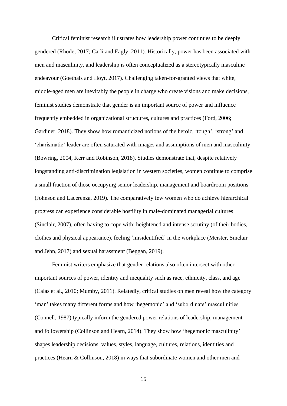Critical feminist research illustrates how leadership power continues to be deeply gendered (Rhode, 2017; Carli and Eagly, 2011). Historically, power has been associated with men and masculinity, and leadership is often conceptualized as a stereotypically masculine endeavour (Goethals and Hoyt, 2017). Challenging taken-for-granted views that white, middle-aged men are inevitably the people in charge who create visions and make decisions, feminist studies demonstrate that gender is an important source of power and influence frequently embedded in organizational structures, cultures and practices (Ford, 2006; Gardiner, 2018). They show how romanticized notions of the heroic, 'tough', 'strong' and 'charismatic' leader are often saturated with images and assumptions of men and masculinity (Bowring, 2004, Kerr and Robinson, 2018). Studies demonstrate that, despite relatively longstanding anti-discrimination legislation in western societies, women continue to comprise a small fraction of those occupying senior leadership, management and boardroom positions (Johnson and Lacerenza, 2019). The comparatively few women who do achieve hierarchical progress can experience considerable hostility in male-dominated managerial cultures (Sinclair, 2007), often having to cope with: heightened and intense scrutiny (of their bodies, clothes and physical appearance), feeling 'misidentified' in the workplace (Meister, Sinclair and Jehn, 2017) and sexual harassment (Beggan, 2019).

Feminist writers emphasize that gender relations also often intersect with other important sources of power, identity and inequality such as race, ethnicity, class, and age (Calas et al., 2010; Mumby, 2011). Relatedly, critical studies on men reveal how the category 'man' takes many different forms and how 'hegemonic' and 'subordinate' masculinities (Connell, 1987) typically inform the gendered power relations of leadership, management and followership (Collinson and Hearn, 2014). They show how 'hegemonic masculinity' shapes leadership decisions, values, styles, language, cultures, relations, identities and practices (Hearn & Collinson, 2018) in ways that subordinate women and other men and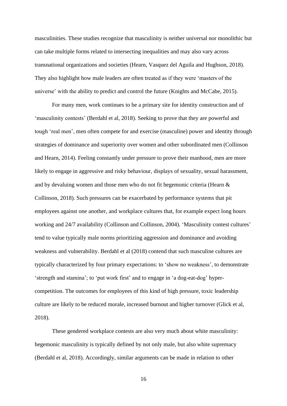masculinities. These studies recognize that masculinity is neither universal nor monolithic but can take multiple forms related to intersecting inequalities and may also vary across transnational organizations and societies (Hearn, Vasquez del Aguila and Hughson, 2018). They also highlight how male leaders are often treated as if they were 'masters of the universe' with the ability to predict and control the future (Knights and McCabe, 2015).

For many men, work continues to be a primary site for identity construction and of 'masculinity contests' (Berdahl et al, 2018). Seeking to prove that they are powerful and tough 'real men', men often compete for and exercise (masculine) power and identity through strategies of dominance and superiority over women and other subordinated men (Collinson and Hearn, 2014). Feeling constantly under pressure to prove their manhood, men are more likely to engage in aggressive and risky behaviour, displays of sexuality, sexual harassment, and by devaluing women and those men who do not fit hegemonic criteria (Hearn & Collinson, 2018). Such pressures can be exacerbated by performance systems that pit employees against one another, and workplace cultures that, for example expect long hours working and 24/7 availability (Collinson and Collinson, 2004). 'Masculinity contest cultures' tend to value typically male norms prioritizing aggression and dominance and avoiding weakness and vulnerability. Berdahl et al (2018) contend that such masculine cultures are typically characterized by four primary expectations: to 'show no weakness', to demonstrate 'strength and stamina'; to 'put work first' and to engage in 'a dog-eat-dog' hypercompetition. The outcomes for employees of this kind of high pressure, toxic leadership culture are likely to be reduced morale, increased burnout and higher turnover (Glick et al, 2018).

These gendered workplace contests are also very much about white masculinity: hegemonic masculinity is typically defined by not only male, but also white supremacy (Berdahl et al, 2018). Accordingly, similar arguments can be made in relation to other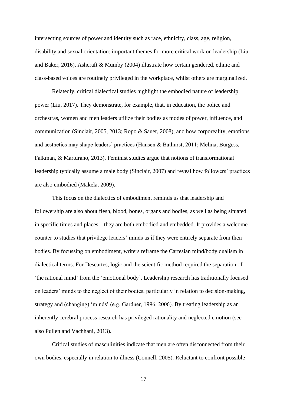intersecting sources of power and identity such as race, ethnicity, class, age, religion, disability and sexual orientation: important themes for more critical work on leadership (Liu and Baker, 2016). Ashcraft & Mumby (2004) illustrate how certain gendered, ethnic and class-based voices are routinely privileged in the workplace, whilst others are marginalized.

Relatedly, critical dialectical studies highlight the embodied nature of leadership power (Liu, 2017). They demonstrate, for example, that, in education, the police and orchestras, women and men leaders utilize their bodies as modes of power, influence, and communication (Sinclair, 2005, 2013; Ropo & Sauer, 2008), and how corporeality, emotions and aesthetics may shape leaders' practices (Hansen & Bathurst, 2011; Melina, Burgess, Falkman, & Marturano, 2013). Feminist studies argue that notions of transformational leadership typically assume a male body (Sinclair, 2007) and reveal how followers' practices are also embodied (Makela, 2009).

This focus on the dialectics of embodiment reminds us that leadership and followership are also about flesh, blood, bones, organs and bodies, as well as being situated in specific times and places – they are both embodied and embedded. It provides a welcome counter to studies that privilege leaders' minds as if they were entirely separate from their bodies. By focussing on embodiment, writers reframe the Cartesian mind/body dualism in dialectical terms. For Descartes, logic and the scientific method required the separation of 'the rational mind' from the 'emotional body'. Leadership research has traditionally focused on leaders' minds to the neglect of their bodies, particularly in relation to decision-making, strategy and (changing) 'minds' (e.g. Gardner, 1996, 2006). By treating leadership as an inherently cerebral process research has privileged rationality and neglected emotion (see also Pullen and Vachhani, 2013).

Critical studies of masculinities indicate that men are often disconnected from their own bodies, especially in relation to illness (Connell, 2005). Reluctant to confront possible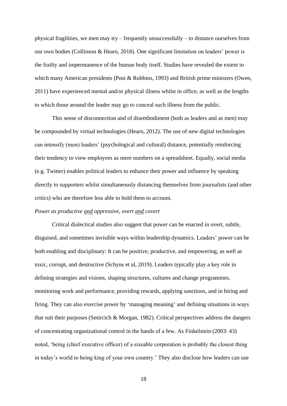physical fragilities, we men may try – frequently unsuccessfully – to distance ourselves from our own bodies (Collinson & Hearn, 2018). One significant limitation on leaders' power is the frailty and impermanence of the human body itself. Studies have revealed the extent to which many American presidents (Post & Robbins, 1993) and British prime ministers (Owen, 2011) have experienced mental and/or physical illness whilst in office, as well as the lengths to which those around the leader may go to conceal such illness from the public.

This sense of disconnection and of disembodiment (both as leaders and as men) may be compounded by virtual technologies (Hearn, 2012). The use of new digital technologies can intensify (men) leaders' (psychological and cultural) distance, potentially reinforcing their tendency to view employees as mere numbers on a spreadsheet. Equally, social media (e.g. Twitter) enables political leaders to enhance their power and influence by speaking directly to supporters whilst simultaneously distancing themselves from journalists (and other critics) who are therefore less able to hold them to account.

#### *Power as productive and oppressive, overt and covert*

Critical dialectical studies also suggest that power can be enacted in overt, subtle, disguised, and sometimes invisible ways within leadership dynamics. Leaders' power can be both enabling and disciplinary: It can be positive, productive, and empowering, as well as toxic, corrupt, and destructive (Schyns et al, 2019). Leaders typically play a key role in defining strategies and visions, shaping structures, cultures and change programmes, monitoring work and performance, providing rewards, applying sanctions, and in hiring and firing. They can also exercise power by 'managing meaning' and defining situations in ways that suit their purposes (Smircich & Morgan, 1982). Critical perspectives address the dangers of concentrating organizational control in the hands of a few. As Finkelstein (2003: 43) noted, 'being (chief executive officer) of a sizeable corporation is probably the closest thing in today's world to being king of your own country.' They also disclose how leaders can use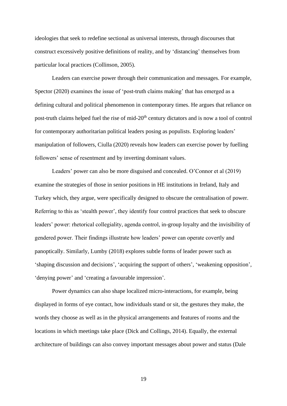ideologies that seek to redefine sectional as universal interests, through discourses that construct excessively positive definitions of reality, and by 'distancing' themselves from particular local practices (Collinson, 2005).

Leaders can exercise power through their communication and messages. For example, Spector (2020) examines the issue of 'post-truth claims making' that has emerged as a defining cultural and political phenomenon in contemporary times. He argues that reliance on post-truth claims helped fuel the rise of mid-20<sup>th</sup> century dictators and is now a tool of control for contemporary authoritarian political leaders posing as populists. Exploring leaders' manipulation of followers, Ciulla (2020) reveals how leaders can exercise power by fuelling followers' sense of resentment and by inverting dominant values.

Leaders' power can also be more disguised and concealed. O'Connor et al (2019) examine the strategies of those in senior positions in HE institutions in Ireland, Italy and Turkey which, they argue, were specifically designed to obscure the centralisation of power. Referring to this as 'stealth power', they identify four control practices that seek to obscure leaders' power: rhetorical collegiality, agenda control, in-group loyalty and the invisibility of gendered power. Their findings illustrate how leaders' power can operate covertly and panoptically. Similarly, Lumby (2018) explores subtle forms of leader power such as 'shaping discussion and decisions', 'acquiring the support of others', 'weakening opposition', 'denying power' and 'creating a favourable impression'.

Power dynamics can also shape localized micro-interactions, for example, being displayed in forms of eye contact, how individuals stand or sit, the gestures they make, the words they choose as well as in the physical arrangements and features of rooms and the locations in which meetings take place (Dick and Collings, 2014). Equally, the external architecture of buildings can also convey important messages about power and status (Dale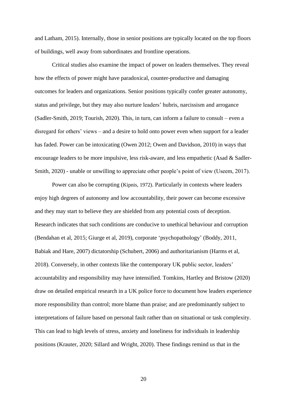and Latham, 2015). Internally, those in senior positions are typically located on the top floors of buildings, well away from subordinates and frontline operations.

Critical studies also examine the impact of power on leaders themselves. They reveal how the effects of power might have paradoxical, counter-productive and damaging outcomes for leaders and organizations. Senior positions typically confer greater autonomy, status and privilege, but they may also nurture leaders' hubris, narcissism and arrogance (Sadler-Smith, 2019; Tourish, 2020). This, in turn, can inform a failure to consult – even a disregard for others' views – and a desire to hold onto power even when support for a leader has faded. Power can be intoxicating (Owen 2012; Owen and Davidson, 2010) in ways that encourage leaders to be more impulsive, less risk-aware, and less empathetic (Asad & Sadler-Smith, 2020) - unable or unwilling to appreciate other people's point of view (Useem, 2017).

Power can also be corrupting (Kipnis, 1972). Particularly in contexts where leaders enjoy high degrees of autonomy and low accountability, their power can become excessive and they may start to believe they are shielded from any potential costs of deception. Research indicates that such conditions are conducive to unethical behaviour and corruption (Bendahan et al, 2015; Giurge et al, 2019), corporate 'psychopathology' (Boddy, 2011, Babiak and Hare, 2007) dictatorship (Schubert, 2006) and authoritarianism (Harms et al, 2018). Conversely, in other contexts like the contemporary UK public sector, leaders' accountability and responsibility may have intensified. Tomkins, Hartley and Bristow (2020) draw on detailed empirical research in a UK police force to document how leaders experience more responsibility than control; more blame than praise; and are predominantly subject to interpretations of failure based on personal fault rather than on situational or task complexity. This can lead to high levels of stress, anxiety and loneliness for individuals in leadership positions (Krauter, 2020; Sillard and Wright, 2020). These findings remind us that in the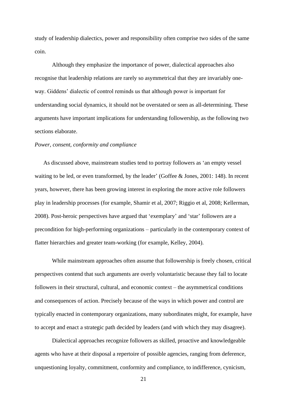study of leadership dialectics, power and responsibility often comprise two sides of the same coin.

Although they emphasize the importance of power, dialectical approaches also recognise that leadership relations are rarely so asymmetrical that they are invariably oneway. Giddens' dialectic of control reminds us that although power is important for understanding social dynamics, it should not be overstated or seen as all-determining. These arguments have important implications for understanding followership, as the following two sections elaborate.

#### *Power, consent, conformity and compliance*

As discussed above, mainstream studies tend to portray followers as 'an empty vessel waiting to be led, or even transformed, by the leader' (Goffee & Jones, 2001: 148). In recent years, however, there has been growing interest in exploring the more active role followers play in leadership processes (for example, Shamir et al, 2007; Riggio et al, 2008; Kellerman, 2008). Post-heroic perspectives have argued that 'exemplary' and 'star' followers are a precondition for high-performing organizations – particularly in the contemporary context of flatter hierarchies and greater team-working (for example, Kelley, 2004).

While mainstream approaches often assume that followership is freely chosen, critical perspectives contend that such arguments are overly voluntaristic because they fail to locate followers in their structural, cultural, and economic context – the asymmetrical conditions and consequences of action. Precisely because of the ways in which power and control are typically enacted in contemporary organizations, many subordinates might, for example, have to accept and enact a strategic path decided by leaders (and with which they may disagree).

Dialectical approaches recognize followers as skilled, proactive and knowledgeable agents who have at their disposal a repertoire of possible agencies, ranging from deference, unquestioning loyalty, commitment, conformity and compliance, to indifference, cynicism,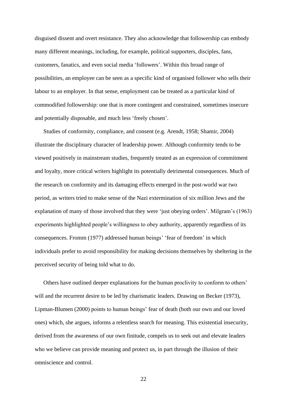disguised dissent and overt resistance. They also acknowledge that followership can embody many different meanings, including, for example, political supporters, disciples, fans, customers, fanatics, and even social media 'followers'. Within this broad range of possibilities, an employee can be seen as a specific kind of organised follower who sells their labour to an employer. In that sense, employment can be treated as a particular kind of commodified followership: one that is more contingent and constrained, sometimes insecure and potentially disposable, and much less 'freely chosen'.

Studies of conformity, compliance, and consent (e.g. Arendt, 1958; Shamir, 2004) illustrate the disciplinary character of leadership power. Although conformity tends to be viewed positively in mainstream studies, frequently treated as an expression of commitment and loyalty, more critical writers highlight its potentially detrimental consequences. Much of the research on conformity and its damaging effects emerged in the post-world war two period, as writers tried to make sense of the Nazi extermination of six million Jews and the explanation of many of those involved that they were 'just obeying orders'. Milgram's (1963) experiments highlighted people's willingness to obey authority, apparently regardless of its consequences. Fromm (1977) addressed human beings' 'fear of freedom' in which individuals prefer to avoid responsibility for making decisions themselves by sheltering in the perceived security of being told what to do.

Others have outlined deeper explanations for the human proclivity to conform to others' will and the recurrent desire to be led by charismatic leaders. Drawing on Becker (1973), Lipman-Blumen (2000) points to human beings' fear of death (both our own and our loved ones) which, she argues, informs a relentless search for meaning. This existential insecurity, derived from the awareness of our own finitude, compels us to seek out and elevate leaders who we believe can provide meaning and protect us, in part through the illusion of their omniscience and control.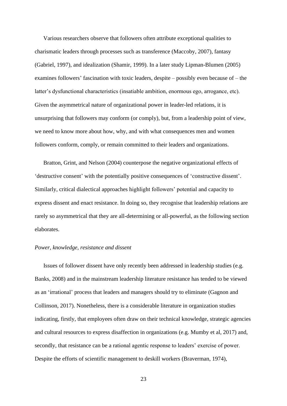Various researchers observe that followers often attribute exceptional qualities to charismatic leaders through processes such as transference (Maccoby, 2007), fantasy (Gabriel, 1997), and idealization (Shamir, 1999). In a later study Lipman-Blumen (2005) examines followers' fascination with toxic leaders, despite – possibly even because of – the latter's dysfunctional characteristics (insatiable ambition, enormous ego, arrogance, etc). Given the asymmetrical nature of organizational power in leader-led relations, it is unsurprising that followers may conform (or comply), but, from a leadership point of view, we need to know more about how, why, and with what consequences men and women followers conform, comply, or remain committed to their leaders and organizations.

Bratton, Grint, and Nelson (2004) counterpose the negative organizational effects of 'destructive consent' with the potentially positive consequences of 'constructive dissent'. Similarly, critical dialectical approaches highlight followers' potential and capacity to express dissent and enact resistance. In doing so, they recognise that leadership relations are rarely so asymmetrical that they are all-determining or all-powerful, as the following section elaborates.

#### *Power, knowledge, resistance and dissent*

Issues of follower dissent have only recently been addressed in leadership studies (e.g. Banks, 2008) and in the mainstream leadership literature resistance has tended to be viewed as an 'irrational' process that leaders and managers should try to eliminate (Gagnon and Collinson, 2017). Nonetheless, there is a considerable literature in organization studies indicating, firstly, that employees often draw on their technical knowledge, strategic agencies and cultural resources to express disaffection in organizations (e.g. Mumby et al, 2017) and, secondly, that resistance can be a rational agentic response to leaders' exercise of power. Despite the efforts of scientific management to deskill workers (Braverman, 1974),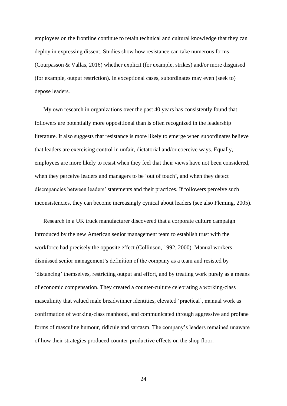employees on the frontline continue to retain technical and cultural knowledge that they can deploy in expressing dissent. Studies show how resistance can take numerous forms (Courpasson & Vallas, 2016) whether explicit (for example, strikes) and/or more disguised (for example, output restriction). In exceptional cases, subordinates may even (seek to) depose leaders.

My own research in organizations over the past 40 years has consistently found that followers are potentially more oppositional than is often recognized in the leadership literature. It also suggests that resistance is more likely to emerge when subordinates believe that leaders are exercising control in unfair, dictatorial and/or coercive ways. Equally, employees are more likely to resist when they feel that their views have not been considered, when they perceive leaders and managers to be 'out of touch', and when they detect discrepancies between leaders' statements and their practices. If followers perceive such inconsistencies, they can become increasingly cynical about leaders (see also Fleming, 2005).

Research in a UK truck manufacturer discovered that a corporate culture campaign introduced by the new American senior management team to establish trust with the workforce had precisely the opposite effect (Collinson, 1992, 2000). Manual workers dismissed senior management's definition of the company as a team and resisted by 'distancing' themselves, restricting output and effort, and by treating work purely as a means of economic compensation. They created a counter-culture celebrating a working-class masculinity that valued male breadwinner identities, elevated 'practical', manual work as confirmation of working-class manhood, and communicated through aggressive and profane forms of masculine humour, ridicule and sarcasm. The company's leaders remained unaware of how their strategies produced counter-productive effects on the shop floor.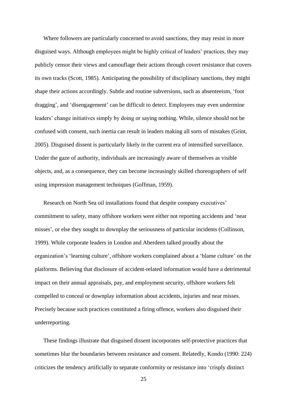Where followers are particularly concerned to avoid sanctions, they may resist in more disguised ways. Although employees might be highly critical of leaders' practices, they may publicly censor their views and camouflage their actions through covert resistance that covers its own tracks (Scott, 1985). Anticipating the possibility of disciplinary sanctions, they might shape their actions accordingly. Subtle and routine subversions, such as absenteeism, 'foot dragging', and 'disengagement' can be difficult to detect. Employees may even undermine leaders' change initiatives simply by doing or saying nothing. While, silence should not be confused with consent, such inertia can result in leaders making all sorts of mistakes (Grint, 2005). Disguised dissent is particularly likely in the current era of intensified surveillance. Under the gaze of authority, individuals are increasingly aware of themselves as visible objects, and, as a consequence, they can become increasingly skilled choreographers of self using impression management techniques (Goffman, 1959).

Research on North Sea oil installations found that despite company executives' commitment to safety, many offshore workers were either not reporting accidents and 'near misses', or else they sought to downplay the seriousness of particular incidents (Collinson, 1999). While corporate leaders in London and Aberdeen talked proudly about the organization's 'learning culture', offshore workers complained about a 'blame culture' on the platforms. Believing that disclosure of accident-related information would have a detrimental impact on their annual appraisals, pay, and employment security, offshore workers felt compelled to conceal or downplay information about accidents, injuries and near misses. Precisely because such practices constituted a firing offence, workers also disguised their underreporting.

These findings illustrate that disguised dissent incorporates self-protective practices that sometimes blur the boundaries between resistance and consent. Relatedly, Kondo (1990: 224) criticizes the tendency artificially to separate conformity or resistance into 'crisply distinct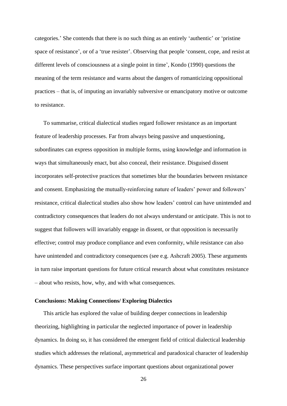categories.' She contends that there is no such thing as an entirely 'authentic' or 'pristine space of resistance', or of a 'true resister'. Observing that people 'consent, cope, and resist at different levels of consciousness at a single point in time', Kondo (1990) questions the meaning of the term resistance and warns about the dangers of romanticizing oppositional practices – that is, of imputing an invariably subversive or emancipatory motive or outcome to resistance.

To summarise, critical dialectical studies regard follower resistance as an important feature of leadership processes. Far from always being passive and unquestioning, subordinates can express opposition in multiple forms, using knowledge and information in ways that simultaneously enact, but also conceal, their resistance. Disguised dissent incorporates self-protective practices that sometimes blur the boundaries between resistance and consent. Emphasizing the mutually-reinforcing nature of leaders' power and followers' resistance, critical dialectical studies also show how leaders' control can have unintended and contradictory consequences that leaders do not always understand or anticipate. This is not to suggest that followers will invariably engage in dissent, or that opposition is necessarily effective; control may produce compliance and even conformity, while resistance can also have unintended and contradictory consequences (see e.g. Ashcraft 2005). These arguments in turn raise important questions for future critical research about what constitutes resistance – about who resists, how, why, and with what consequences.

#### **Conclusions: Making Connections/ Exploring Dialectics**

This article has explored the value of building deeper connections in leadership theorizing, highlighting in particular the neglected importance of power in leadership dynamics. In doing so, it has considered the emergent field of critical dialectical leadership studies which addresses the relational, asymmetrical and paradoxical character of leadership dynamics. These perspectives surface important questions about organizational power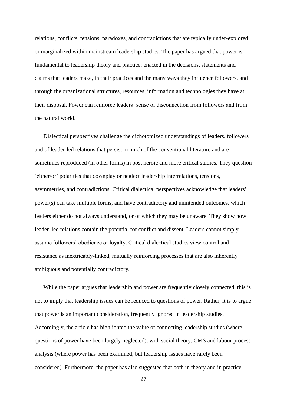relations, conflicts, tensions, paradoxes, and contradictions that are typically under-explored or marginalized within mainstream leadership studies. The paper has argued that power is fundamental to leadership theory and practice: enacted in the decisions, statements and claims that leaders make, in their practices and the many ways they influence followers, and through the organizational structures, resources, information and technologies they have at their disposal. Power can reinforce leaders' sense of disconnection from followers and from the natural world.

Dialectical perspectives challenge the dichotomized understandings of leaders, followers and of leader-led relations that persist in much of the conventional literature and are sometimes reproduced (in other forms) in post heroic and more critical studies. They question 'either/or' polarities that downplay or neglect leadership interrelations, tensions, asymmetries, and contradictions. Critical dialectical perspectives acknowledge that leaders' power(s) can take multiple forms, and have contradictory and unintended outcomes, which leaders either do not always understand, or of which they may be unaware. They show how leader–led relations contain the potential for conflict and dissent. Leaders cannot simply assume followers' obedience or loyalty. Critical dialectical studies view control and resistance as inextricably-linked, mutually reinforcing processes that are also inherently ambiguous and potentially contradictory.

While the paper argues that leadership and power are frequently closely connected, this is not to imply that leadership issues can be reduced to questions of power. Rather, it is to argue that power is an important consideration, frequently ignored in leadership studies. Accordingly, the article has highlighted the value of connecting leadership studies (where questions of power have been largely neglected), with social theory, CMS and labour process analysis (where power has been examined, but leadership issues have rarely been considered). Furthermore, the paper has also suggested that both in theory and in practice,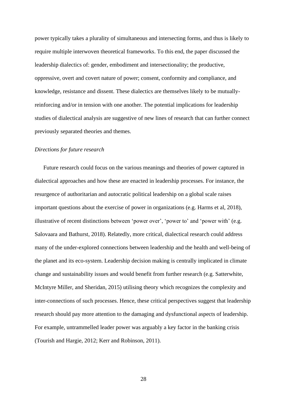power typically takes a plurality of simultaneous and intersecting forms, and thus is likely to require multiple interwoven theoretical frameworks. To this end, the paper discussed the leadership dialectics of: gender, embodiment and intersectionality; the productive, oppressive, overt and covert nature of power; consent, conformity and compliance, and knowledge, resistance and dissent. These dialectics are themselves likely to be mutuallyreinforcing and/or in tension with one another. The potential implications for leadership studies of dialectical analysis are suggestive of new lines of research that can further connect previously separated theories and themes.

#### *Directions for future research*

Future research could focus on the various meanings and theories of power captured in dialectical approaches and how these are enacted in leadership processes. For instance, the resurgence of authoritarian and autocratic political leadership on a global scale raises important questions about the exercise of power in organizations (e.g. Harms et al, 2018), illustrative of recent distinctions between 'power over', 'power to' and 'power with' (e.g. Salovaara and Bathurst, 2018). Relatedly, more critical, dialectical research could address many of the under-explored connections between leadership and the health and well-being of the planet and its eco-system. Leadership decision making is centrally implicated in climate change and sustainability issues and would benefit from further research (e.g. Satterwhite, McIntyre Miller, and Sheridan, 2015) utilising theory which recognizes the complexity and inter-connections of such processes. Hence, these critical perspectives suggest that leadership research should pay more attention to the damaging and dysfunctional aspects of leadership. For example, untrammelled leader power was arguably a key factor in the banking crisis (Tourish and Hargie, 2012; Kerr and Robinson, 2011).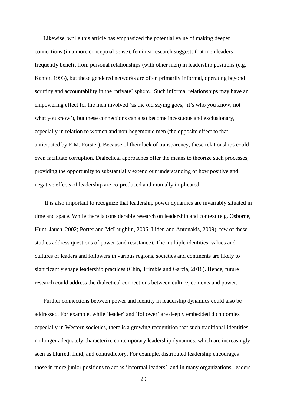Likewise, while this article has emphasized the potential value of making deeper connections (in a more conceptual sense), feminist research suggests that men leaders frequently benefit from personal relationships (with other men) in leadership positions (e.g. Kanter, 1993), but these gendered networks are often primarily informal, operating beyond scrutiny and accountability in the 'private' sphere. Such informal relationships may have an empowering effect for the men involved (as the old saying goes, 'it's who you know, not what you know'), but these connections can also become incestuous and exclusionary, especially in relation to women and non-hegemonic men (the opposite effect to that anticipated by E.M. Forster). Because of their lack of transparency, these relationships could even facilitate corruption. Dialectical approaches offer the means to theorize such processes, providing the opportunity to substantially extend our understanding of how positive and negative effects of leadership are co-produced and mutually implicated.

It is also important to recognize that leadership power dynamics are invariably situated in time and space. While there is considerable research on leadership and context (e.g. Osborne, Hunt, Jauch, 2002; Porter and McLaughlin, 2006; Liden and Antonakis, 2009), few of these studies address questions of power (and resistance). The multiple identities, values and cultures of leaders and followers in various regions, societies and continents are likely to significantly shape leadership practices (Chin, Trimble and Garcia, 2018). Hence, future research could address the dialectical connections between culture, contexts and power.

Further connections between power and identity in leadership dynamics could also be addressed. For example, while 'leader' and 'follower' are deeply embedded dichotomies especially in Western societies, there is a growing recognition that such traditional identities no longer adequately characterize contemporary leadership dynamics, which are increasingly seen as blurred, fluid, and contradictory. For example, distributed leadership encourages those in more junior positions to act as 'informal leaders', and in many organizations, leaders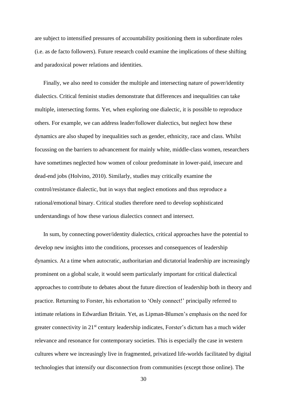are subject to intensified pressures of accountability positioning them in subordinate roles (i.e. as de facto followers). Future research could examine the implications of these shifting and paradoxical power relations and identities.

Finally, we also need to consider the multiple and intersecting nature of power/identity dialectics. Critical feminist studies demonstrate that differences and inequalities can take multiple, intersecting forms. Yet, when exploring one dialectic, it is possible to reproduce others. For example, we can address leader/follower dialectics, but neglect how these dynamics are also shaped by inequalities such as gender, ethnicity, race and class. Whilst focussing on the barriers to advancement for mainly white, middle-class women, researchers have sometimes neglected how women of colour predominate in lower-paid, insecure and dead-end jobs (Holvino, 2010). Similarly, studies may critically examine the control/resistance dialectic, but in ways that neglect emotions and thus reproduce a rational/emotional binary. Critical studies therefore need to develop sophisticated understandings of how these various dialectics connect and intersect.

In sum, by connecting power/identity dialectics, critical approaches have the potential to develop new insights into the conditions, processes and consequences of leadership dynamics. At a time when autocratic, authoritarian and dictatorial leadership are increasingly prominent on a global scale, it would seem particularly important for critical dialectical approaches to contribute to debates about the future direction of leadership both in theory and practice. Returning to Forster, his exhortation to 'Only connect!' principally referred to intimate relations in Edwardian Britain. Yet, as Lipman-Blumen's emphasis on the need for greater connectivity in 21<sup>st</sup> century leadership indicates, Forster's dictum has a much wider relevance and resonance for contemporary societies. This is especially the case in western cultures where we increasingly live in fragmented, privatized life-worlds facilitated by digital technologies that intensify our disconnection from communities (except those online). The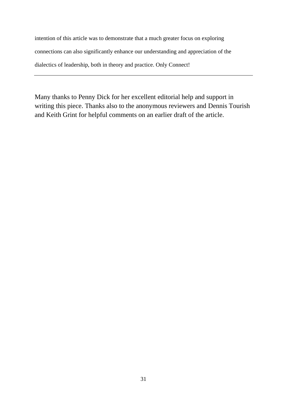intention of this article was to demonstrate that a much greater focus on exploring connections can also significantly enhance our understanding and appreciation of the dialectics of leadership, both in theory and practice. Only Connect!

Many thanks to Penny Dick for her excellent editorial help and support in writing this piece. Thanks also to the anonymous reviewers and Dennis Tourish and Keith Grint for helpful comments on an earlier draft of the article.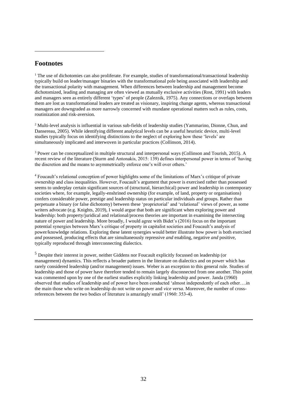### **Footnotes**

 $1$  The use of dichotomies can also proliferate. For example, studies of transformational/transactional leadership typically build on leader/manager binaries with the transformational pole being associated with leadership and the transactional polarity with management. When differences between leadership and management become dichotomized, leading and managing are often viewed as mutually exclusive activities (Rost, 1991) with leaders and managers seen as entirely different 'types' of people (Zaleznik, 1975). Any connections or overlaps between them are lost as transformational leaders are treated as visionary, inspiring change agents, whereas transactional managers are downgraded as more narrowly concerned with mundane operational matters such as rules, costs, routinization and risk-aversion.

<sup>2</sup> Multi-level analysis is influential in various sub-fields of leadership studies (Yammarino, Dionne, Chun, and Dansereau, 2005). While identifying different analytical levels can be a useful heuristic device, multi-level studies typically focus on identifying distinctions to the neglect of exploring how these 'levels' are simultaneously implicated and interwoven in particular practices (Collinson, 2014).

<sup>3</sup> Power can be conceptualized in multiple structural and interpersonal ways (Collinson and Tourish, 2015). A recent review of the literature (Sturm and Antonakis, 2015: 139) defines interpersonal power in terms of 'having the discretion and the means to asymmetrically enforce one's will over others.'

<sup>4</sup> Foucault's relational conception of power highlights some of the limitations of Marx's critique of private ownership and class inequalities. However, Foucault's argument that power is exercised rather than possessed seems to underplay certain significant sources of (structural, hierarchical) power and leadership in contemporary societies where, for example, legally-enshrined ownership (for example, of land, property or organisations) confers considerable power, prestige and leadership status on particular individuals and groups. Rather than perpetuate a binary (or false dichotomy) between these 'proprietorial' and 'relational' views of power, as some writers advocate (e.g. Knights, 2019). I would argue that both are significant when exploring power and leadership: both property/juridical and relational/process theories are important in examining the intersecting nature of power and leadership. More broadly, I would agree with Bidet's (2016) focus on the important potential synergies between Marx's critique of property in capitalist societies and Foucault's analysis of power/knowledge relations. Exploring these latent synergies would better illustrate how power is both exercised *and* possessed, producing effects that are simultaneously repressive *and* enabling, negative *and* positive, typically reproduced through interconnecting dialectics.

<sup>5</sup> Despite their interest in power, neither Giddens nor Foucault explicitly focussed on leadership (or management) dynamics. This reflects a broader pattern in the literature on dialectics and on power which has rarely considered leadership (and/or management) issues. Weber is an exception to this general rule. Studies of leadership and those of power have therefore tended to remain largely disconnected from one another. This point was commented upon by one of the earliest studies explicitly linking leadership and power. Janda (1960) observed that studies of leadership and of power have been conducted 'almost independently of each other….in the main those who write on leadership do not write on power and *vice versa*. Moreover, the number of crossreferences between the two bodies of literature is amazingly small' (1960: 353-4).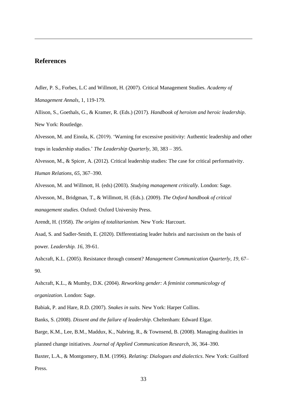### **References**

Adler, P. S., Forbes, L.C and Willmott, H. (2007). Critical Management Studies. *[Academy of](https://journals.aom.org/journal/annals)* 

*[Management Annals,](https://journals.aom.org/journal/annals)* 1, 119-179.

Allison, S., Goethals, G., & Kramer, R. (Eds.) (2017). *Handbook of heroism and heroic leadership*. New York: Routledge.

Alvesson, M. and Einola, K. (2019). 'Warning for excessive positivity: Authentic leadership and other traps in leadership studies.' *The Leadership Quarterly,* 30, 383 – 395.

Alvesson, M., & Spicer, A. (2012). Critical leadership studies: The case for critical performativity. *Human Relations*, *65*, 367–390.

Alvesson, M. and Willmott, H. (eds) (2003). *Studying management critically*. London: Sage.

Alvesson, M., Bridgman, T., & Willmott, H. (Eds.). (2009). *The Oxford handbook of critical management studies*. Oxford: Oxford University Press.

Arendt, H. (1958). *The origins of totalitarianism.* New York: Harcourt.

Asad, S. and Sadler-Smith, E. (2020). Differentiating leader hubris and narcissism on the basis of power. *Leadership. 16,* 39-61.

Ashcraft, K.L. (2005). Resistance through consent? *Management Communication Quarterly*, *19*, 67– 90.

Ashcraft, K.L., & Mumby, D.K. (2004). *Reworking gender: A feminist communicology of organization*. London: Sage.

Babiak, P. and Hare, R.D. (2007). *Snakes in suits.* New York: Harper Collins.

Banks, S. (2008). *Dissent and the failure of leadership*. Cheltenham: Edward Elgar.

Barge, K.M., Lee, B.M., Maddux, K., Nabring, R., & Townsend, B. (2008). Managing dualities in planned change initiatives. *Journal of Applied Communication Research*, *36*, 364–390.

Baxter, L.A., & Montgomery, B.M. (1996). *Relating: Dialogues and dialectics*. New York: Guilford Press.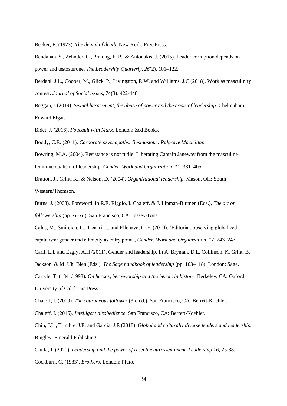Becker, E. (1973). *The denial of death.* New York: Free Press.

Bendahan, S., Zehnder, C., Pralong, F. P., & Antonakis, J. (2015). Leader corruption depends on power and testosterone. *The Leadership Quarterly, 26*(2), 101–122.

Berdahl, J.L., Cooper, M., Glick, P., Livingston, R.W. and Williams, J.C (2018). Work as masculinity contest. *Journal of Social issues*, 74(3): 422-448.

Beggan, J (2019). S[exual harassment, the abuse of power and the crisis of leadership.](https://www.elgaronline.com/view/9781788972581.xml) Cheltenham: Edward Elgar.

Bidet, J. (2016). *Foucault with Marx.* London: Zed Books.

Boddy, C.R. (2011). *Corporate psychopaths: Basingstoke: Palgrave Macmillan.* 

Bowring, M.A. (2004). Resistance is not futile: Liberating Captain Janeway from the masculine– feminine dualism of leadership. *Gender, Work and Organization*, *11*, 381–405.

Bratton, J., Grint, K., & Nelson, D. (2004). *Organizational leadership*. Mason, OH: South Western/Thomson.

Burns, J. (2008). Foreword. In R.E. Riggio, I. Chaleff, & J. Lipman-Blumen (Eds.), *The art of followership* (pp. xi–xii). San Francisco, CA: Jossey-Bass.

Calas, M., Smircich, L., Tienari, J., and Ellehave, C. F. (2010). 'Editorial: observing globalized capitalism: gender and ethnicity as entry point', *Gender, Work and Organization, 17,* 243–247.

Carli, L.L and Eagly, A.H (2011). Gender and leadership. In A. Bryman, D.L. Collinson, K. Grint, B.

Jackson, & M. Uhl Bien (Eds.), *The Sage handbook of leadership* (pp. 103–118). London: Sage.

Carlyle, T. (1841/1993). *On heroes, hero-worship and the heroic in history*. Berkeley, CA; Oxford: University of California Press.

Chaleff, I. (2009). *The courageous follower* (3rd ed.). San Francisco, CA: Berrett-Koehler.

Chaleff, I. (2015). *Intelligent disobedience*. San Francisco, CA: Berrett-Koehler.

Chin, J.L., Trimble, J.E. and Garcia, J.E (2018). *Global and culturally diverse leaders and leadership.*  Bingley: Emerald Publishing.

Ciulla, J. (2020). *Leadership and the power of resentment/ressentiment. Leadership 16,* 25-38. Cockburn, C. (1983). *Brothers*. London: Pluto.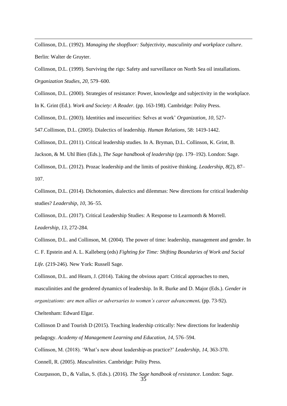Collinson, D.L. (1992). *Managing the shopfloor: Subjectivity, masculinity and workplace culture*. Berlin: Walter de Gruyter.

Collinson, D.L. (1999). Surviving the rigs: Safety and surveillance on North Sea oil installations. *Organization Studies*, *20*, 579–600.

Collinson, D.L. (2000). Strategies of resistance: Power, knowledge and subjectivity in the workplace.

In K. Grint (Ed.). *Work and Society: A Reader.* (pp. 163-198). Cambridge: Polity Press.

Collinson, D.L. (2003). Identities and insecurities: Selves at work' *Organization*, *10*, 527-

547.Collinson, D.L. (2005). Dialectics of leadership. *Human Relations,* 58: 1419-1442.

Collinson, D.L. (2011). Critical leadership studies. In A. Bryman, D.L. Collinson, K. Grint, B.

Jackson, & M. Uhl Bien (Eds.), *The Sage handbook of leadership* (pp. 179–192). London: Sage.

Collinson, D.L. (2012). Prozac leadership and the limits of positive thinking. *Leadership*, *8*(2), 87– 107.

Collinson, D.L. (2014). Dichotomies, dialectics and dilemmas: New directions for critical leadership studies? *Leadership*, *10*, 36–55.

Collinson, D.L. (2017). Critical Leadership Studies: A Response to Learmonth & Morrell. *Leadership, 13,* 272-284.

Collinson, D.L. and Collinson, M. (2004). The power of time: leadership, management and gender. In C. F. Epstein and A. L. Kalleberg (eds) *Fighting for Time: Shifting Boundaries of Work and Social Life.* (219-246). New York: Russell Sage.

Collinson, D.L. and Hearn, J. (2014). Taking the obvious apart: Critical approaches to men, masculinities and the gendered dynamics of leadership. In R. Burke and D. Major (Eds.). *Gender in organizations: are men allies or adversaries to women's career advancement.* (pp. 73-92).

Cheltenham: Edward Elgar.

Collinson D and Tourish D (2015). Teaching leadership critically: New directions for leadership pedagogy. *Academy of Management Learning and Education, 14,* 576–594.

Collinson, M. (2018). 'What's new about leadership-as practice?' *Leadership, 14,* 363-370.

Connell, R. (2005). *Masculinities*. Cambridge: Polity Press.

Courpasson, D., & Vallas, S. (Eds.). (2016). *The Sage handbook of resistance*. London: Sage.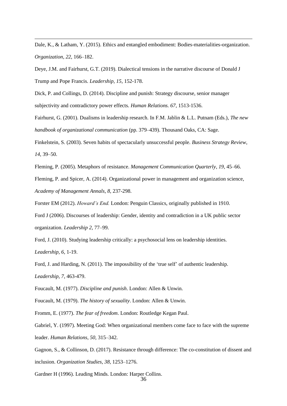Dale, K., & Latham, Y. (2015). Ethics and entangled embodiment: Bodies-materialities-organization. *Organization*, *22*, 166–182.

Deye, J.M. and Fairhurst, G.T. (2019). Dialectical tensions in the narrative discourse of Donald J Trump and Pope Francis. *Leadership*, *15,* 152-178.

Dick, P. and Collings, D. (2014). Discipline and punish: Strategy discourse, senior manager subjectivity and contradictory power effects. *Human Relations. 67*, 1513-1536.

Fairhurst, G. (2001). Dualisms in leadership research. In F.M. Jablin & L.L. Putnam (Eds.), *The new handbook of organizational communication* (pp. 379–439). Thousand Oaks, CA: Sage.

Finkelstein, S. (2003). Seven habits of spectacularly unsuccessful people. *Business Strategy Review*, *14*, 39–50.

Fleming, P. (2005). Metaphors of resistance. *Management Communication Quarterly*, *19,* 45–66.

Fleming, P. and Spicer, A. (2014). Organizational power in management and organization science, *Academy of Management Annals, 8,* 237-298.

Forster EM (2012). *Howard's End.* London: Penguin Classics, originally published in 1910.

Ford J (2006). Discourses of leadership: Gender, identity and contradiction in a UK public sector organization. *Leadership 2,* 77–99.

Ford, J. (2010). Studying leadership critically: a psychosocial lens on leadership identities. *Leadership, 6,* 1-19.

Ford, J. and Harding, N. (2011). The impossibility of the 'true self' of authentic leadership. *Leadership, 7,* 463-479.

Foucault, M. (1977). *Discipline and punish*. London: Allen & Unwin.

Foucault, M. (1979). *The history of sexuality*. London: Allen & Unwin.

Fromm, E. (1977). *The fear of freedom*. London: Routledge Kegan Paul.

Gabriel, Y. (1997). Meeting God: When organizational members come face to face with the supreme leader. *Human Relations*, *50*, 315–342.

Gagnon, S., & Collinson, D. (2017). Resistance through difference: The co-constitution of dissent and inclusion. *Organization Studies*, *38*, 1253–1276.

Gardner H (1996). Leading Minds. London: Harper Collins.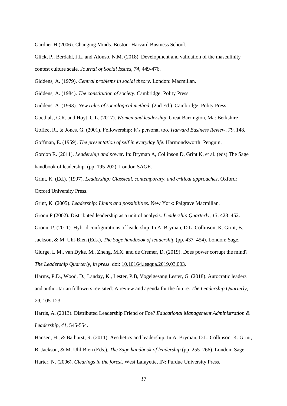Gardner H (2006). Changing Minds. Boston: Harvard Business School.

Glick, P., Berdahl, J.L. and Alonso, N.M. (2018). Development and validation of the masculinity contest culture scale. *Journal of Social Issues, 74,* 449-476.

Giddens, A. (1979). *Central problems in social theory*. London: Macmillan.

Giddens, A. (1984). *The constitution of society*. Cambridge: Polity Press.

Giddens, A. (1993). *New rules of sociological method.* (2nd Ed.). Cambridge: Polity Press.

Goethals, G.R. and Hoyt, C.L. (2017). *Women and leadership*. Great Barrington, Ma: Berkshire

Goffee, R., & Jones, G. (2001). Followership: It's personal too. *Harvard Business Review*, *79*, 148.

Goffman, E. (1959). *The presentation of self in everyday life*. Harmondsworth: Penguin.

Gordon R. (2011). *Leadership and power.* In: Bryman A, Collinson D, Grint K, et al. (eds) The Sage handbook of leadership. (pp. 195-202). London SAGE.

Grint, K. (Ed.). (1997). *Leadership: Classical, contemporary, and critical approaches*. Oxford: Oxford University Press.

Grint, K. (2005). *Leadership: Limits and possibilities*. New York: Palgrave Macmillan.

Gronn P (2002). Distributed leadership as a unit of analysis. *Leadership Quarterly, 13,* 423–452.

Gronn, P. (2011). Hybrid configurations of leadership. In A. Bryman, D.L. Collinson, K. Grint, B.

Jackson, & M. Uhl-Bien (Eds.), *The Sage handbook of leadership* (pp. 437–454). London: Sage.

Giurge, L.M., van Dyke, M., Zheng, M.X. and de Cremer, D. (2019). Does power corrupt the mind? *The Leadership Quarterly, in press*. doi: [10.1016/j.leaqua.2019.03.003.](http://doi.org/10.1016/j.leaqua.2019.03.003)

Harms, P.D., Wood, D., Landay, K., Lester, P.B, Vogelgesang Lester, G. (2018). Autocratic leaders and authoritarian followers revisited: A review and agenda for the future. *The Leadership Quarterly, 29,* 105-123.

Harris, A. (2013). Distributed Leadership Friend or Foe? *Educational Management Administration & Leadership, 41,* 545-554.

Hansen, H., & Bathurst, R. (2011). Aesthetics and leadership. In A. Bryman, D.L. Collinson, K. Grint, B. Jackson, & M. Uhl-Bien (Eds.), *The Sage handbook of leadership* (pp. 255–266). London: Sage. Harter, N. (2006). *Clearings in the forest*. West Lafayette, IN: Purdue University Press.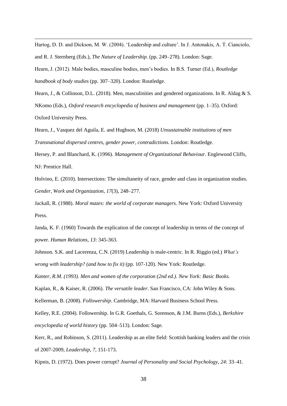Hartog, D. D. and Dickson, M. W. (2004). 'Leadership and culture'. In J. Antonakis, A. T. Cianciolo, and R. J. Sternberg (Eds.), *The Nature of Leadership.* (pp. 249–278). London: Sage.

Hearn, J. (2012). Male bodies, masculine bodies, men's bodies. In B.S. Turner (Ed.), *Routledge handbook of body studies* (pp. 307–320). London: Routledge.

Hearn, J., & Collinson, D.L. (2018). Men, masculinities and gendered organizations. In R. Aldag & S. NKomo (Eds.), *Oxford research encyclopedia of business and management* (pp. 1–35). Oxford: Oxford University Press.

Hearn, J., Vasquez del Aguila, E. and Hughson, M. (2018) *Unsustainable institutions of men Transnational dispersed centres, gender power, contradictions.* London: Routledge.

Hersey, P. and Blanchard, K. (1996). *Management of Organizational Behaviour.* Englewood Cliffs, NJ: Prentice Hall.

Holvino, E. (2010). Intersections: The simultaneity of race, gender and class in organization studies. *Gender, Work and Organization*, *17*(3), 248–277.

Jackall, R. (1988). *Moral mazes: the world of corporate managers.* New York: Oxford University Press.

Janda, K. F. (1960) Towards the explication of the concept of leadership in terms of the concept of power. *Human Relations, 13*: 345-363.

Johnson. S.K. and Lacerenza, C.N. (2019) Leadership is male-centric. In R. Riggio (ed.) *What's wrong with leadership? (and how to fix it)* (pp. 107-120). New York: Routledge.

*Kanter, R.M. (1993). [Men and women of the corporation](https://archive.org/details/menwomenofcorp000kant) (2nd ed.). New York: Basic Books.*

Kaplan, R., & Kaiser, R. (2006). *The versatile leader*. San Francisco, CA: John Wiley & Sons.

Kellerman, B. (2008). *Followership*. Cambridge, MA: Harvard Business School Press.

Kelley, R.E. (2004). Followership. In G.R. Goethals, G. Sorenson, & J.M. Burns (Eds.), *Berkshire encyclopedia of world history* (pp. 504–513). London: Sage.

Kerr, R., and Robinson, S. (2011). Leadership as an elite field: Scottish banking leaders and the crisis of 2007-2009, *Leadership, 7*, 151-173.

Kipnis, D. (1972). Does power corrupt? *Journal of Personality and Social Psychology, 24*: 33–41.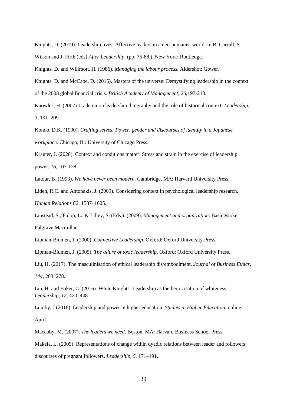Knights, D. (2019). Leadership lives: Affective leaders in a neo-humanist world. In B. Carroll, S.

Wilson and J. Firth (eds) *After Leadership.* (pp. 75-88.). New York: Routledge.

Knights, D. and Willmott, H. (1986). *Managing the labour process.* Aldershot: Gower.

Knights, D. and McCabe, D. (2015). Masters of the universe: Demystifying leadership in the context of the 2008 global financial crisis. *British Academy of Management, 26,*197-210.

Knowles, H. (2007) Trade union leadership: biography and the role of historical context. *Leadership, 3,* 191–209.

Kondo, D.K. (1990). *Crafting selves: Power, gender and discourses of identity in a Japanese workplace*. Chicago, IL: University of Chicago Press.

Krauter, J. (2020). Context and conditions matter: Stress and strain in the exercise of leadership power. *16,* 107-128.

Latour, B. (1993). *We have never been modern*. Cambridge, MA: Harvard University Press.

Liden, R.C. and Antonakis, J. (2009). Considering context in psychological leadership research. *Human Relations 62*: 1587–1605.

Linstead, S., Fulop, L., & Lilley, S. (Eds.). (2009). *Management and organization*. Basingstoke: Palgrave Macmillan.

Lipman-Blumen, J. (2000). *Connective Leadership*. Oxford: Oxford University Press.

Lipman-Blumen, J. (2005). *The allure of toxic leadership*. Oxford: Oxford University Press.

Liu, H. (2017). The masculinisation of ethical leadership dis/embodiment. *Journal of Business Ethics*, *144*, 263–278.

Liu, H. and Baker, C. (2016). [White Knights: Leadership as the heroicisation of whiteness.](http://dx.doi.org/10.1177/1742715014565127) *Leadership*, *12,* 420–448.

Lumby, J (2018). Leadership and power in higher education. *Studies in Higher Education.* online: April.

Maccoby, M. (2007). *The leaders we need*. Boston, MA: Harvard Business School Press.

Makela, L. (2009). Representations of change within dyadic relations between leader and followers: discourses of pregnant followers. *Leadership, 5*, 171–191.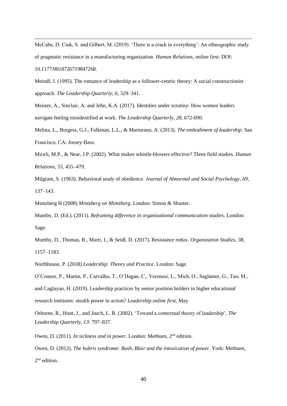McCabe, D. Ciuk, S. and Gilbert, M. (2019). 'There is a crack in everything': An ethnographic study of pragmatic resistance in a manufacturing organization. *Human Relations,* online first: DOI: 10.1177/0018726719847268.

Meindl, J. (1995). The romance of leadership as a follower-centric theory: A social constructionist approach. *The Leadership Quarterly*, *6*, 329–341.

Meister, A., Sinclair, A. and Jehn, K.A. (2017). Identities under scrutiny: How women leaders navigate feeling misidentified at work. *The Leadership Quarterly, 28,* 672-690.

Melina, L., Burgess, G.J., Falkman, L.L., & Marturano, A. (2013). *The embodiment of leadership*. San Francisco, CA: Jossey-Bass.

Miceli, M.P., & Near, J.P. (2002). What makes whistle-blowers effective? Three field studies. *Human Relations*, *55*, 455–479.

Milgram, S. (1963). Behavioral study of obedience. *Journal of Abnormal and Social Psychology*, *69*, 137–143.

Mintzberg H (2008) *Mintzberg on Mintzberg.* London: Simon & Shuster.

Mumby, D. (Ed.). (2011). *Reframing difference in organizational communication studies*. London: Sage.

Mumby, D., Thomas, R., Marti, I., & Seidl, D. (2017). Resistance redux. *Organization Studies*, *38*, 1157–1183.

Northhouse, P. (2018) *Leadership: Theory and Practice*. London: Sage.

O'Connor, P., Martin, P., Carvalho, T., O'Hagan, C., Veronesi, L., Mich, O., Saglamer, G., Tan, M., and Caglayan, H. (2019). Leadership practices by senior position holders in higher educational research institutes: stealth power in action? *Leadership online first,* May.

Osborne, R., Hunt, J., and Jauch, L. R. (2002). 'Toward a contextual theory of leadership', *The Leadership Quarterly, 13*: 797–837.

Owen, D. (2011). *In sickness and in power*. London: Methuen, 2<sup>nd</sup> edition.

Owen, D. (2012). *The hubris syndrome: Bush, Blair and the intoxication of power*. York: Methuen, 2<sup>nd</sup> edition.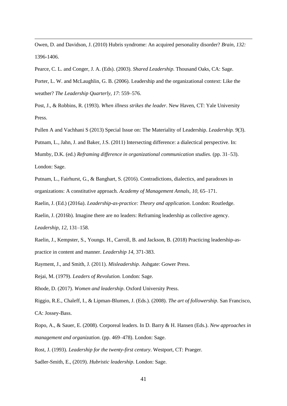Owen, D. and Davidson, J. (2010) Hubris syndrome: An acquired personality disorder? *Brain, 132:*  1396-1406.

Pearce, C. L. and Conger, J. A. (Eds). (2003). *Shared Leadership*. Thousand Oaks, CA: Sage. Porter, L. W. and McLaughlin, G. B. (2006). Leadership and the organizational context: Like the weather? *The Leadership Quarterly, 17*: 559–576.

Post, J., & Robbins, R. (1993). *When illness strikes the leader*. New Haven, CT: Yale University Press.

Pullen A and Vachhani S (2013) Special Issue on: The Materiality of Leadership. *Leadership. 9*(3). Putnam, L., Jahn, J. and Baker, J.S. (2011) Intersecting difference: a dialectical perspective. In: Mumby, D.K. (ed.) *Reframing difference in organizational communication studies.* (pp. 31–53). London: Sage.

Putnam, L., Fairhurst, G., & Banghart, S. (2016). Contradictions, dialectics, and paradoxes in organizations: A constitutive approach. *Academy of Management Annals*, *10*, 65–171.

Raelin, J. (Ed.) (2016a). *Leadership-as-practice: Theory and application*. London: Routledge.

Raelin, J. (2016b). Imagine there are no leaders: Reframing leadership as collective agency. *Leadership, 12,* 131–158.

Raelin, J., Kempster, S., Youngs. H., Carroll, B. and Jackson, B. (2018) Practicing leadership-aspractice in content and manner. *Leadership 14,* 371-383.

Rayment, J., and Smith, J. (2011). *Misleadership.* Ashgate: Gower Press.

Rejai, M. (1979). *Leaders of Revolution.* London: Sage.

Rhode, D. (2017). *Women and leadership*. Oxford University Press.

Riggio, R.E., Chaleff, I., & Lipman-Blumen, J. (Eds.). (2008). *The art of followership*. San Francisco, CA: Jossey-Bass.

Ropo, A., & Sauer, E. (2008). Corporeal leaders. In D. Barry & H. Hansen (Eds.). *New approaches in management and organization.* (pp. 469–478). London: Sage.

Rost, J. (1993). *Leadership for the twenty-first century*. Westport, CT: Praeger.

Sadler-Smith, E., (2019). *Hubristic leadership*. London: Sage.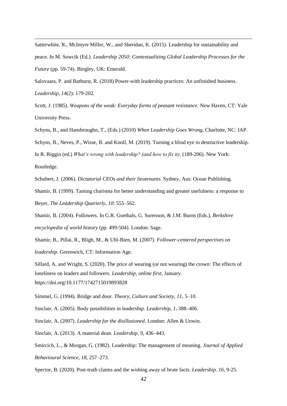Satterwhite, R., McIntyre Miller, W., and Sheridan, K. (2015). Leadership for sustainability and peace. In M. Sowcik (Ed.). *Leadership 2050: Contextualizing Global Leadership Processes for the Future* (pp. 59-74). Bingley, UK: Emerald.

Salovaara, P. and Bathurst, R. (2018) Power-with leadership practices: An unfinished business. *Leadership,* 14(2): 179-202.

Scott, J. (1985). *Weapons of the weak: Everyday forms of peasant resistance*. New Haven, CT: Yale University Press.

Schyns, B., and Hansbroughn, T., (Eds.) (2010) *When Leadership Goes Wrong*, Charlotte, NC: IAP. Schyns, B., Neves, P., Wisse, B. and Knoll, M. (2019). Turning a blind eye to destructive leadership. In R. Riggio (ed.) *What's wrong with leadership? (and how to fix it).* (189-206). New York: Routledge.

Schubert, J. (2006). *Dictatorial CEOs and their lieutenants.* Sydney, Aus: Ocean Publishing.

Shamir, B. (1999). Taming charisma for better understanding and greater usefulness: a response to Beyer, *The Leadership Quarterly*, *10*: 555–562.

Shamir, B. (2004). Followers. In G.R. Goethals, G. Sorenson, & J.M. Burns (Eds.), *Berkshire encyclopedia of world history* (pp. 499-504). London: Sage.

Shamir, B., Pillai, R., Bligh, M., & Uhl-Bien, M. (2007). *Follower-centered perspectives on leadership*. Greenwich, CT: Information Age.

Sillard, A. and Wright, S. (2020). The price of wearing (or not wearing) the crown: The effects of loneliness on leaders and followers. *Leadership, online first,* January. <https://doi.org/10.1177/1742715019893828>

Simmel, G. (1994). Bridge and door. *Theory, Culture and Society*, *11*, 5–10.

Sinclair, A. (2005). Body possibilities in leadership. *Leadership*, *1,* 388–406.

Sinclair, A. (2007). *Leadership for the disillusioned*. London: Allen & Unwin.

Sinclair, A. (2013). A material dean. *Leadership*, *9*, 436–443.

Smircich, L., & Morgan, G. (1982). Leadership: The management of meaning. *Journal of Applied Behavioural Science*, *18*, 257–273.

Spector, B. (2020). Post-truth claims and the wishing away of brute facts. *Leadership. 16,* 9-25.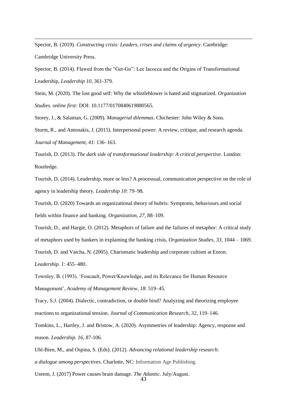Spector, B. (2019). *Constructing crisis: Leaders, crises and claims of urgency.* Cambridge: Cambridge University Press.

Spector, B. (2014). Flawed from the "Get-Go": Lee Iacocca and the Origins of Transformational Leadership, *Leadership 10,* 361-379.

Stein, M. (2020). The lost good self: Why the whistleblower is hated and stigmatized. *Organization Studies. online first:* DOI: 10.1177/0170840619880565.

Storey, J., & Salaman, G. (2009). *Managerial dilemmas*. Chichester: John Wiley & Sons.

Sturm, R., and Antonakis, J. (2015). Interpersonal power: A review, critique, and research agenda. *Journal of Management, 41*: 136–163.

Tourish, D. (2013). *The dark side of transformational leadership: A critical perspective*. London: Routledge.

Tourish, D. (2014). Leadership, more or less? A processual, communication perspective on the role of agency in leadership theory. *Leadership 10*: 79–98.

Tourish, D. (2020) Towards an organizational theory of hubris: Symptoms, behaviours and social fields within finance and banking. *Organization, 27,* 88–109.

Tourish, D., and Hargie, O. (2012). Metaphors of failure and the failures of metaphor: A critical study of metaphors used by bankers in explaining the banking crisis, *Organization Studies*, *33,* 1044 – 1069.

Tourish, D. and Vatcha, N. (2005). Charismatic leadership and corporate cultism at Enron.

*Leadership. 1*: 455–480.

Townley, B. (1993). 'Foucault, Power/Knowledge, and its Relevance for Human Resource Management', *Academy of Management Review, 18*: 519–45.

Tracy, S.J. (2004). Dialectic, contradiction, or double bind? Analyzing and theorizing employee reactions to organizational tension. *Journal of Communication Research*, *32*, 119–146.

Tomkins, L., Hartley, J. and Bristow, A. (2020). Asymmetries of leadership: Agency, response and reason. *Leadership. 16,* 87-106.

Uhl-Bien, M., and Ospina, S. (Eds). (2012). *Advancing relational leadership research:* 

*a dialogue among perspectives.* Charlotte, NC: Information Age Publishing.

Useem, J. (2017) Power causes brain damage. *The Atlantic.* July/August.